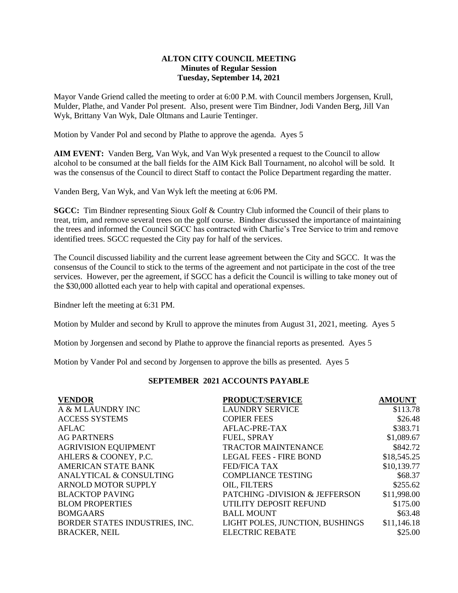## **ALTON CITY COUNCIL MEETING Minutes of Regular Session Tuesday, September 14, 2021**

Mayor Vande Griend called the meeting to order at 6:00 P.M. with Council members Jorgensen, Krull, Mulder, Plathe, and Vander Pol present. Also, present were Tim Bindner, Jodi Vanden Berg, Jill Van Wyk, Brittany Van Wyk, Dale Oltmans and Laurie Tentinger.

Motion by Vander Pol and second by Plathe to approve the agenda. Ayes 5

**AIM EVENT:** Vanden Berg, Van Wyk, and Van Wyk presented a request to the Council to allow alcohol to be consumed at the ball fields for the AIM Kick Ball Tournament, no alcohol will be sold. It was the consensus of the Council to direct Staff to contact the Police Department regarding the matter.

Vanden Berg, Van Wyk, and Van Wyk left the meeting at 6:06 PM.

**SGCC:** Tim Bindner representing Sioux Golf & Country Club informed the Council of their plans to treat, trim, and remove several trees on the golf course. Bindner discussed the importance of maintaining the trees and informed the Council SGCC has contracted with Charlie's Tree Service to trim and remove identified trees. SGCC requested the City pay for half of the services.

The Council discussed liability and the current lease agreement between the City and SGCC. It was the consensus of the Council to stick to the terms of the agreement and not participate in the cost of the tree services. However, per the agreement, if SGCC has a deficit the Council is willing to take money out of the \$30,000 allotted each year to help with capital and operational expenses.

Bindner left the meeting at 6:31 PM.

Motion by Mulder and second by Krull to approve the minutes from August 31, 2021, meeting. Ayes 5

Motion by Jorgensen and second by Plathe to approve the financial reports as presented. Ayes 5

Motion by Vander Pol and second by Jorgensen to approve the bills as presented. Ayes 5

## **SEPTEMBER 2021 ACCOUNTS PAYABLE**

| <b>VENDOR</b>                  | <b>PRODUCT/SERVICE</b>                    | <b>AMOUNT</b> |
|--------------------------------|-------------------------------------------|---------------|
| A & M LAUNDRY INC              | <b>LAUNDRY SERVICE</b>                    | \$113.78      |
| <b>ACCESS SYSTEMS</b>          | <b>COPIER FEES</b>                        | \$26.48       |
| AFLAC.                         | AFLAC-PRE-TAX                             | \$383.71      |
| <b>AG PARTNERS</b>             | FUEL, SPRAY                               | \$1,089.67    |
| <b>AGRIVISION EQUIPMENT</b>    | <b>TRACTOR MAINTENANCE</b>                | \$842.72      |
| AHLERS & COONEY, P.C.          | <b>LEGAL FEES - FIRE BOND</b>             | \$18,545.25   |
| <b>AMERICAN STATE BANK</b>     | FED/FICA TAX                              | \$10,139.77   |
| ANALYTICAL & CONSULTING        | <b>COMPLIANCE TESTING</b>                 | \$68.37       |
| <b>ARNOLD MOTOR SUPPLY</b>     | OIL, FILTERS                              | \$255.62      |
| <b>BLACKTOP PAVING</b>         | <b>PATCHING -DIVISION &amp; JEFFERSON</b> | \$11,998.00   |
| <b>BLOM PROPERTIES</b>         | UTILITY DEPOSIT REFUND                    | \$175.00      |
| <b>BOMGAARS</b>                | <b>BALL MOUNT</b>                         | \$63.48       |
| BORDER STATES INDUSTRIES, INC. | LIGHT POLES, JUNCTION, BUSHINGS           | \$11,146.18   |
| <b>BRACKER, NEIL</b>           | <b>ELECTRIC REBATE</b>                    | \$25.00       |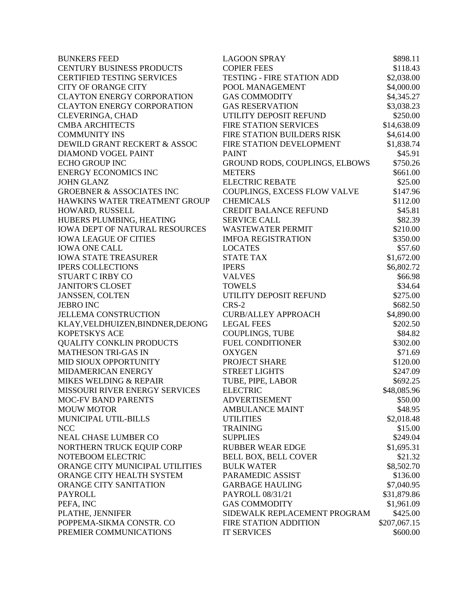| <b>BUNKERS FEED</b>                                  | <b>LAGOON SPRAY</b>                            | \$898.11                 |
|------------------------------------------------------|------------------------------------------------|--------------------------|
| <b>CENTURY BUSINESS PRODUCTS</b>                     | <b>COPIER FEES</b>                             | \$118.43                 |
| <b>CERTIFIED TESTING SERVICES</b>                    | <b>TESTING - FIRE STATION ADD</b>              | \$2,038.00               |
| <b>CITY OF ORANGE CITY</b>                           | POOL MANAGEMENT                                | \$4,000.00               |
| <b>CLAYTON ENERGY CORPORATION</b>                    | <b>GAS COMMODITY</b>                           |                          |
| <b>CLAYTON ENERGY CORPORATION</b>                    | <b>GAS RESERVATION</b>                         | \$4,345.27<br>\$3,038.23 |
| <b>CLEVERINGA, CHAD</b>                              | UTILITY DEPOSIT REFUND                         | \$250.00                 |
| <b>CMBA ARCHITECTS</b>                               | <b>FIRE STATION SERVICES</b>                   | \$14,638.09              |
| <b>COMMUNITY INS</b>                                 | FIRE STATION BUILDERS RISK                     | \$4,614.00               |
| DEWILD GRANT RECKERT & ASSOC                         | FIRE STATION DEVELOPMENT                       | \$1,838.74               |
| <b>DIAMOND VOGEL PAINT</b>                           | <b>PAINT</b>                                   | \$45.91                  |
| <b>ECHO GROUP INC</b>                                | GROUND RODS, COUPLINGS, ELBOWS                 | \$750.26                 |
| <b>ENERGY ECONOMICS INC</b>                          | <b>METERS</b>                                  | \$661.00                 |
| <b>JOHN GLANZ</b>                                    | <b>ELECTRIC REBATE</b>                         | \$25.00                  |
| <b>GROEBNER &amp; ASSOCIATES INC</b>                 | COUPLINGS, EXCESS FLOW VALVE                   | \$147.96                 |
| HAWKINS WATER TREATMENT GROUP                        | <b>CHEMICALS</b>                               | \$112.00                 |
| HOWARD, RUSSELL                                      | <b>CREDIT BALANCE REFUND</b>                   | \$45.81                  |
| HUBERS PLUMBING, HEATING                             | <b>SERVICE CALL</b>                            | \$82.39                  |
| <b>IOWA DEPT OF NATURAL RESOURCES</b>                | <b>WASTEWATER PERMIT</b>                       | \$210.00                 |
| <b>IOWA LEAGUE OF CITIES</b>                         | <b>IMFOA REGISTRATION</b>                      | \$350.00                 |
| <b>IOWA ONE CALL</b>                                 | <b>LOCATES</b>                                 | \$57.60                  |
| <b>IOWA STATE TREASURER</b>                          | <b>STATE TAX</b>                               | \$1,672.00               |
| <b>IPERS COLLECTIONS</b>                             | <b>IPERS</b>                                   | \$6,802.72               |
| <b>STUART C IRBY CO</b>                              | <b>VALVES</b>                                  | \$66.98                  |
| <b>JANITOR'S CLOSET</b>                              | <b>TOWELS</b>                                  | \$34.64                  |
| <b>JANSSEN, COLTEN</b>                               | UTILITY DEPOSIT REFUND                         | \$275.00                 |
| <b>JEBRO INC</b>                                     | CRS-2                                          | \$682.50                 |
| <b>JELLEMA CONSTRUCTION</b>                          | <b>CURB/ALLEY APPROACH</b>                     | \$4,890.00               |
| KLAY, VELDHUIZEN, BINDNER, DEJONG                    | <b>LEGAL FEES</b>                              | \$202.50                 |
| <b>KOPETSKYS ACE</b>                                 | <b>COUPLINGS, TUBE</b>                         | \$84.82                  |
| <b>QUALITY CONKLIN PRODUCTS</b>                      | <b>FUEL CONDITIONER</b>                        | \$302.00                 |
| <b>MATHESON TRI-GAS IN</b>                           | <b>OXYGEN</b>                                  | \$71.69                  |
| MID SIOUX OPPORTUNITY                                | PROJECT SHARE                                  | \$120.00                 |
| MIDAMERICAN ENERGY                                   | <b>STREET LIGHTS</b>                           | \$247.09                 |
| MIKES WELDING & REPAIR                               | TUBE, PIPE, LABOR                              | \$692.25                 |
| MISSOURI RIVER ENERGY SERVICES                       | <b>ELECTRIC</b>                                |                          |
|                                                      |                                                | \$48,085.96              |
| <b>MOC-FV BAND PARENTS</b><br><b>MOUW MOTOR</b>      | <b>ADVERTISEMENT</b><br><b>AMBULANCE MAINT</b> | \$50.00                  |
| MUNICIPAL UTIL-BILLS                                 | <b>UTILITIES</b>                               | \$48.95                  |
|                                                      |                                                | \$2,018.48               |
| <b>NCC</b>                                           | <b>TRAINING</b>                                | \$15.00                  |
| <b>NEAL CHASE LUMBER CO</b>                          | <b>SUPPLIES</b>                                | \$249.04                 |
| NORTHERN TRUCK EQUIP CORP                            | <b>RUBBER WEAR EDGE</b>                        | \$1,695.31               |
| NOTEBOOM ELECTRIC<br>ORANGE CITY MUNICIPAL UTILITIES | <b>BELL BOX, BELL COVER</b>                    | \$21.32                  |
|                                                      | <b>BULK WATER</b>                              | \$8,502.70               |
| ORANGE CITY HEALTH SYSTEM                            | PARAMEDIC ASSIST                               | \$136.00                 |
| ORANGE CITY SANITATION                               | <b>GARBAGE HAULING</b>                         | \$7,040.95               |
| <b>PAYROLL</b>                                       | PAYROLL 08/31/21                               | \$31,879.86              |
| PEFA, INC                                            | <b>GAS COMMODITY</b>                           | \$1,961.09               |
| PLATHE, JENNIFER                                     | SIDEWALK REPLACEMENT PROGRAM                   | \$425.00                 |
| POPPEMA-SIKMA CONSTR. CO                             | <b>FIRE STATION ADDITION</b>                   | \$207,067.15             |
| PREMIER COMMUNICATIONS                               | <b>IT SERVICES</b>                             | \$600.00                 |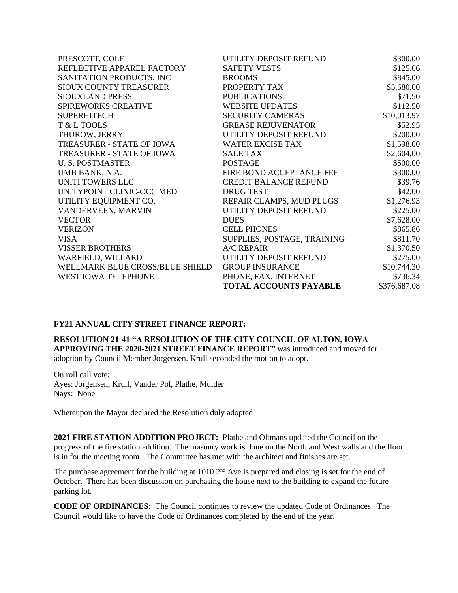| PRESCOTT, COLE                  | UTILITY DEPOSIT REFUND        | \$300.00     |
|---------------------------------|-------------------------------|--------------|
| REFLECTIVE APPAREL FACTORY      | <b>SAFETY VESTS</b>           | \$125.06     |
| SANITATION PRODUCTS, INC        | <b>BROOMS</b>                 | \$845.00     |
| SIOUX COUNTY TREASURER          | PROPERTY TAX                  | \$5,680.00   |
| SIOUXLAND PRESS                 | <b>PUBLICATIONS</b>           | \$71.50      |
| SPIREWORKS CREATIVE             | <b>WEBSITE UPDATES</b>        | \$112.50     |
| <b>SUPERHITECH</b>              | <b>SECURITY CAMERAS</b>       | \$10,013.97  |
| T & L TOOLS                     | <b>GREASE REJUVENATOR</b>     | \$52.95      |
| THUROW, JERRY                   | UTILITY DEPOSIT REFUND        | \$200.00     |
| TREASURER - STATE OF IOWA       | <b>WATER EXCISE TAX</b>       | \$1,598.00   |
| TREASURER - STATE OF IOWA       | <b>SALE TAX</b>               | \$2,604.00   |
| <b>U.S. POSTMASTER</b>          | <b>POSTAGE</b>                | \$500.00     |
| UMB BANK, N.A.                  | FIRE BOND ACCEPTANCE FEE      | \$300.00     |
| UNITI TOWERS LLC                | <b>CREDIT BALANCE REFUND</b>  | \$39.76      |
| UNITYPOINT CLINIC-OCC MED       | <b>DRUG TEST</b>              | \$42.00      |
| UTILITY EQUIPMENT CO.           | REPAIR CLAMPS, MUD PLUGS      | \$1,276.93   |
| VANDERVEEN, MARVIN              | UTILITY DEPOSIT REFUND        | \$225.00     |
| <b>VECTOR</b>                   | <b>DUES</b>                   | \$7,628.00   |
| <b>VERIZON</b>                  | <b>CELL PHONES</b>            | \$865.86     |
| <b>VISA</b>                     | SUPPLIES, POSTAGE, TRAINING   | \$811.70     |
| <b>VISSER BROTHERS</b>          | <b>A/C REPAIR</b>             | \$1,370.50   |
| WARFIELD, WILLARD               | UTILITY DEPOSIT REFUND        | \$275.00     |
| WELLMARK BLUE CROSS/BLUE SHIELD | <b>GROUP INSURANCE</b>        | \$10,744.30  |
| WEST IOWA TELEPHONE             | PHONE, FAX, INTERNET          | \$736.34     |
|                                 | <b>TOTAL ACCOUNTS PAYABLE</b> | \$376,687.08 |

## **FY21 ANNUAL CITY STREET FINANCE REPORT:**

**RESOLUTION 21-41 "A RESOLUTION OF THE CITY COUNCIL OF ALTON, IOWA APPROVING THE 2020-2021 STREET FINANCE REPORT"** was introduced and moved for adoption by Council Member Jorgensen. Krull seconded the motion to adopt.

On roll call vote: Ayes: Jorgensen, Krull, Vander Pol, Plathe, Mulder Nays: None

Whereupon the Mayor declared the Resolution duly adopted

**2021 FIRE STATION ADDITION PROJECT:** Plathe and Oltmans updated the Council on the progress of the fire station addition. The masonry work is done on the North and West walls and the floor is in for the meeting room. The Committee has met with the architect and finishes are set.

The purchase agreement for the building at 1010  $2<sup>nd</sup>$  Ave is prepared and closing is set for the end of October. There has been discussion on purchasing the house next to the building to expand the future parking lot.

**CODE OF ORDINANCES:** The Council continues to review the updated Code of Ordinances. The Council would like to have the Code of Ordinances completed by the end of the year.